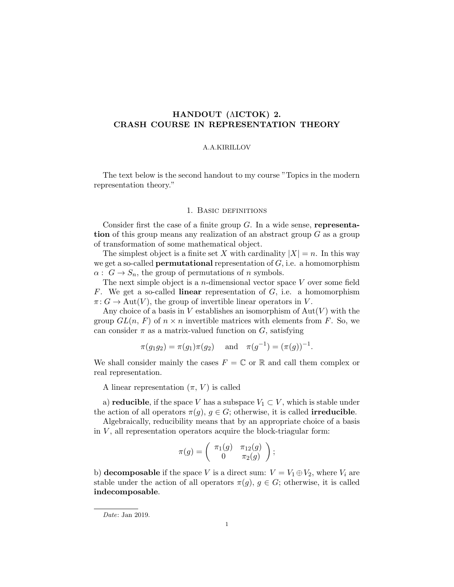# HANDOUT (ΛICTOK) 2. CRASH COURSE IN REPRESENTATION THEORY

#### A.A.KIRILLOV

The text below is the second handout to my course "Topics in the modern representation theory."

## 1. Basic definitions

Consider first the case of a finite group  $G$ . In a wide sense, representation of this group means any realization of an abstract group G as a group of transformation of some mathematical object.

The simplest object is a finite set X with cardinality  $|X| = n$ . In this way we get a so-called **permutational** representation of  $G$ , i.e. a homomorphism  $\alpha: G \to S_n$ , the group of permutations of n symbols.

The next simple object is a *n*-dimensional vector space  $V$  over some field F. We get a so-called **linear** representation of  $G$ , i.e. a homomorphism  $\pi: G \to \text{Aut}(V)$ , the group of invertible linear operators in V.

Any choice of a basis in V establishes an isomorphism of  $Aut(V)$  with the group  $GL(n, F)$  of  $n \times n$  invertible matrices with elements from F. So, we can consider  $\pi$  as a matrix-valued function on G, satisfying

$$
\pi(g_1g_2) = \pi(g_1)\pi(g_2)
$$
 and  $\pi(g^{-1}) = (\pi(g))^{-1}$ .

We shall consider mainly the cases  $F = \mathbb{C}$  or  $\mathbb{R}$  and call them complex or real representation.

A linear representation  $(\pi, V)$  is called

a) **reducible**, if the space V has a subspace  $V_1 \subset V$ , which is stable under the action of all operators  $\pi(g)$ ,  $g \in G$ ; otherwise, it is called **irreducible**.

Algebraically, reducibility means that by an appropriate choice of a basis in  $V$ , all representation operators acquire the block-triagular form:

$$
\pi(g) = \left( \begin{array}{cc} \pi_1(g) & \pi_{12}(g) \\ 0 & \pi_2(g) \end{array} \right);
$$

b) decomposable if the space V is a direct sum:  $V = V_1 \oplus V_2$ , where  $V_i$  are stable under the action of all operators  $\pi(q)$ ,  $q \in G$ ; otherwise, it is called indecomposable.

Date: Jan 2019.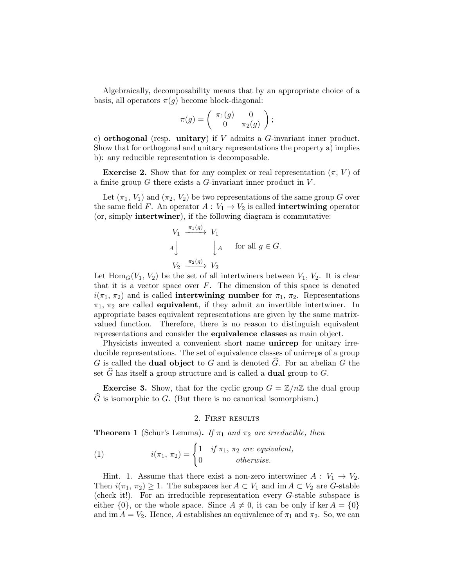Algebraically, decomposability means that by an appropriate choice of a basis, all operators  $\pi(q)$  become block-diagonal:

$$
\pi(g) = \begin{pmatrix} \pi_1(g) & 0 \\ 0 & \pi_2(g) \end{pmatrix};
$$

c) orthogonal (resp. unitary) if  $V$  admits a  $G$ -invariant inner product. Show that for orthogonal and unitary representations the property a) implies b): any reducible representation is decomposable.

**Exercise 2.** Show that for any complex or real representation  $(\pi, V)$  of a finite group  $G$  there exists a  $G$ -invariant inner product in  $V$ .

Let  $(\pi_1, V_1)$  and  $(\pi_2, V_2)$  be two representations of the same group G over the same field F. An operator  $A: V_1 \to V_2$  is called **intertwining** operator (or, simply intertwiner), if the following diagram is commutative:

$$
V_1 \xrightarrow{\pi_1(g)} V_1
$$
  
\n
$$
A \downarrow \qquad \qquad \downarrow A \qquad \text{for all } g \in G.
$$
  
\n
$$
V_2 \xrightarrow{\pi_2(g)} V_2
$$

Let  $\text{Hom}_G(V_1, V_2)$  be the set of all intertwiners between  $V_1, V_2$ . It is clear that it is a vector space over  $F$ . The dimension of this space is denoted  $i(\pi_1, \pi_2)$  and is called **intertwining number** for  $\pi_1, \pi_2$ . Representations  $\pi_1$ ,  $\pi_2$  are called **equivalent**, if they admit an invertible intertwiner. In appropriate bases equivalent representations are given by the same matrixvalued function. Therefore, there is no reason to distinguish equivalent representations and consider the equivalence classes as main object.

Physicists inwented a convenient short name unirrep for unitary irreducible representations. The set of equivalence classes of unirreps of a group G is called the **dual object** to G and is denoted  $\widehat{G}$ . For an abelian G the set  $\widehat{G}$  has itself a group structure and is called a **dual** group to G.

**Exercise 3.** Show, that for the cyclic group  $G = \mathbb{Z}/n\mathbb{Z}$  the dual group  $\hat{G}$  is isomorphic to G. (But there is no canonical isomorphism.)

#### 2. First results

**Theorem 1** (Schur's Lemma). If  $\pi_1$  and  $\pi_2$  are irreducible, then

(1) 
$$
i(\pi_1, \pi_2) = \begin{cases} 1 & \text{if } \pi_1, \pi_2 \text{ are equivalent,} \\ 0 & \text{otherwise.} \end{cases}
$$

Hint. 1. Assume that there exist a non-zero intertwiner  $A: V_1 \rightarrow V_2$ . Then  $i(\pi_1, \pi_2) \geq 1$ . The subspaces ker  $A \subset V_1$  and im  $A \subset V_2$  are G-stable (check it!). For an irreducible representation every G-stable subspace is either  $\{0\}$ , or the whole space. Since  $A \neq 0$ , it can be only if ker  $A = \{0\}$ and im  $A = V_2$ . Hence, A establishes an equivalence of  $\pi_1$  and  $\pi_2$ . So, we can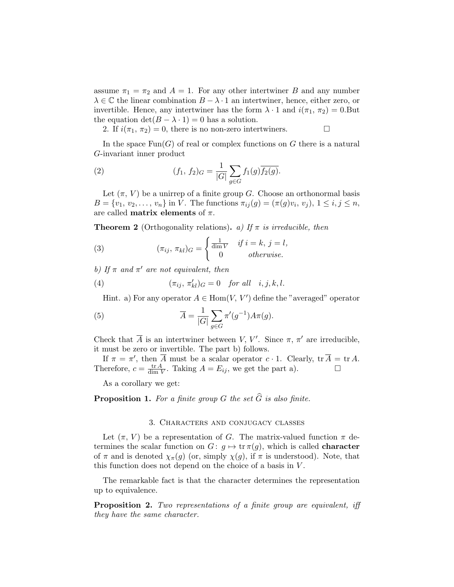assume  $\pi_1 = \pi_2$  and  $A = 1$ . For any other intertwiner B and any number  $\lambda \in \mathbb{C}$  the linear combination  $B - \lambda \cdot 1$  an intertwiner, hence, either zero, or invertible. Hence, any intertwiner has the form  $\lambda \cdot 1$  and  $i(\pi_1, \pi_2) = 0$ . But the equation  $\det(B - \lambda \cdot 1) = 0$  has a solution.

2. If  $i(\pi_1, \pi_2) = 0$ , there is no non-zero intertwiners.

In the space  $\text{Fun}(G)$  of real or complex functions on G there is a natural G-invariant inner product

(2) 
$$
(f_1, f_2)G = \frac{1}{|G|} \sum_{g \in G} f_1(g) \overline{f_2(g)}.
$$

Let  $(\pi, V)$  be a unirrep of a finite group G. Choose an orthonormal basis  $B = \{v_1, v_2, \dots, v_n\}$  in V. The functions  $\pi_{ij}(g) = (\pi(g)v_i, v_j), 1 \le i, j \le n$ , are called **matrix elements** of  $\pi$ .

**Theorem 2** (Orthogonality relations). a) If  $\pi$  is irreducible, then

(3) 
$$
(\pi_{ij}, \pi_{kl})_G = \begin{cases} \frac{1}{\dim V} & \text{if } i = k, j = l, \\ 0 & \text{otherwise.} \end{cases}
$$

b) If  $\pi$  and  $\pi'$  are not equivalent, then

(4) 
$$
(\pi_{ij}, \pi'_{kl})_G = 0 \quad \text{for all} \quad i, j, k, l.
$$

Hint. a) For any operator  $A \in \text{Hom}(V, V')$  define the "averaged" operator

(5) 
$$
\overline{A} = \frac{1}{|G|} \sum_{g \in G} \pi'(g^{-1}) A \pi(g).
$$

Check that  $\overline{A}$  is an intertwiner between V, V'. Since  $\pi$ ,  $\pi'$  are irreducible, it must be zero or invertible. The part b) follows.

If  $\pi = \pi'$ , then  $\overline{A}$  must be a scalar operator  $c \cdot 1$ . Clearly,  $\text{tr } \overline{A} = \text{tr } A$ . Therefore,  $c = \frac{\text{tr } A}{\text{dim } A}$  $\frac{\text{tr }A}{\text{dim }V}$ . Taking  $A = E_{ij}$ , we get the part a).

As a corollary we get:

# **Proposition 1.** For a finite group G the set  $\widehat{G}$  is also finite.

#### 3. Characters and conjugacy classes

Let  $(\pi, V)$  be a representation of G. The matrix-valued function  $\pi$  determines the scalar function on  $G: g \mapsto \text{tr } \pi(g)$ , which is called **character** of  $\pi$  and is denoted  $\chi_{\pi}(g)$  (or, simply  $\chi(g)$ , if  $\pi$  is understood). Note, that this function does not depend on the choice of a basis in V .

The remarkable fact is that the character determines the representation up to equivalence.

Proposition 2. Two representations of a finite group are equivalent, iff they have the same character.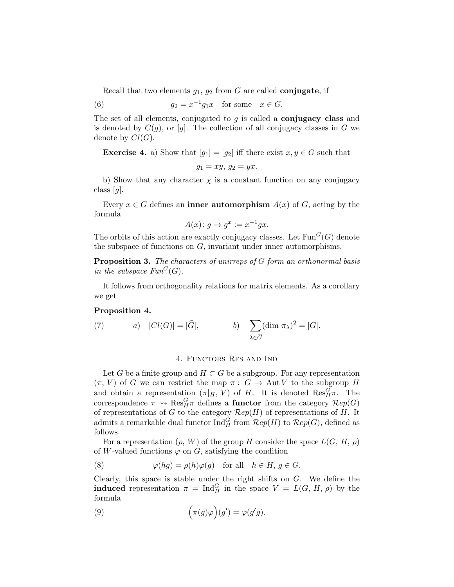Recall that two elements  $g_1, g_2$  from G are called **conjugate**, if

(6) 
$$
g_2 = x^{-1}g_1x \text{ for some } x \in G.
$$

The set of all elements, conjugated to  $g$  is called a **conjugacy class** and is denoted by  $C(g)$ , or [g]. The collection of all conjugacy classes in G we denote by  $Cl(G)$ .

**Exercise 4.** a) Show that  $[g_1] = [g_2]$  iff there exist  $x, y \in G$  such that

$$
g_1 = xy, \, g_2 = yx.
$$

b) Show that any character  $\chi$  is a constant function on any conjugacy class  $[g]$ .

Every  $x \in G$  defines an **inner automorphism**  $A(x)$  of G, acting by the formula

$$
A(x) \colon g \mapsto g^x := x^{-1}gx.
$$

The orbits of this action are exactly conjugacy classes. Let  $\text{Fun}^G(G)$  denote the subspace of functions on  $G$ , invariant under inner automorphisms.

Proposition 3. The characters of unirreps of G form an orthonormal basis in the subspace  $Fun^G(G)$ .

It follows from orthogonality relations for matrix elements. As a corollary we get

#### Proposition 4.

(7) 
$$
a) |Cl(G)| = |\widehat{G}|,
$$
  $b) \sum_{\lambda \in \widehat{G}} (\dim \pi_{\lambda})^2 = |G|.$ 

### 4. Functors Res and Ind

Let G be a finite group and  $H \subset G$  be a subgroup. For any representation  $(\pi, V)$  of G we can restrict the map  $\pi: G \to \text{Aut } V$  to the subgroup H and obtain a representation  $(\pi|_H, V)$  of H. It is denoted  $\text{Res}^G_H \pi$ . The correspondence  $\pi \leadsto \text{Res}_{H}^{G} \pi$  defines a **functor** from the category  $\mathcal{R}ep(G)$ of representations of G to the category  $\mathcal{R}ep(H)$  of representations of H. It admits a remarkable dual functor  $\text{Ind}_{H}^{G}$  from  $\mathcal{R}ep(H)$  to  $\mathcal{R}ep(G)$ , defined as follows.

For a representation  $(\rho, W)$  of the group H consider the space  $L(G, H, \rho)$ of W-valued functions  $\varphi$  on G, satisfying the condition

(8) 
$$
\varphi(hg) = \rho(h)\varphi(g) \text{ for all } h \in H, g \in G.
$$

Clearly, this space is stable under the right shifts on  $G$ . We define the **induced** representation  $\pi = \text{Ind}_{H}^{G}$  in the space  $V = L(G, H, \rho)$  by the formula

(9) 
$$
\left(\pi(g)\varphi\right)(g') = \varphi(g'g).
$$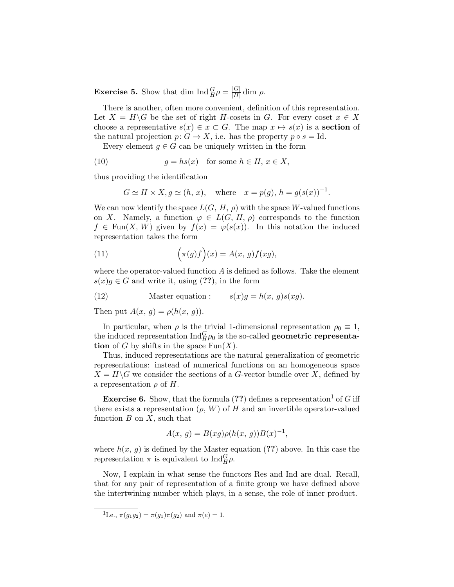**Exercise 5.** Show that dim  $\text{Ind}_{H}^{G} \rho = \frac{|G|}{|H|}$  $\frac{|G|}{|H|}$  dim  $\rho$ .

There is another, often more convenient, definition of this representation. Let  $X = H\backslash G$  be the set of right H-cosets in G. For every coset  $x \in X$ choose a representative  $s(x) \in x \subset G$ . The map  $x \mapsto s(x)$  is a **section** of the natural projection  $p: G \to X$ , i.e. has the property  $p \circ s = Id$ .

Every element  $g \in G$  can be uniquely written in the form

(10) 
$$
g = hs(x) \text{ for some } h \in H, x \in X,
$$

thus providing the identification

$$
G \simeq H \times X, g \simeq (h, x), \quad \text{where} \quad x = p(g), h = g(s(x))^{-1}.
$$

We can now identify the space  $L(G, H, \rho)$  with the space W-valued functions on X. Namely, a function  $\varphi \in L(G, H, \rho)$  corresponds to the function  $f \in \text{Fun}(X, W)$  given by  $f(x) = \varphi(s(x))$ . In this notation the induced representation takes the form

(11) 
$$
\left(\pi(g)f\right)(x) = A(x, g)f(xg),
$$

where the operator-valued function  $A$  is defined as follows. Take the element  $s(x)g \in G$  and write it, using (??), in the form

(12) Master equation : 
$$
s(x)g = h(x, g)s(xg)
$$
.

Then put  $A(x, q) = \rho(h(x, q))$ .

In particular, when  $\rho$  is the trivial 1-dimensional representation  $\rho_0 \equiv 1$ , the induced representation  $\text{Ind}_{H}^{G} \rho_0$  is the so-called **geometric representa**tion of G by shifts in the space  $\text{Fun}(X)$ .

Thus, induced representations are the natural generalization of geometric representations: instead of numerical functions on an homogeneous space  $X = H \backslash G$  we consider the sections of a G-vector bundle over X, defined by a representation  $\rho$  of H.

**Exercise 6.** Show, that the formula  $(??)$  defines a representation<sup>1</sup> of G iff there exists a representation  $(\rho, W)$  of H and an invertible operator-valued function  $B$  on  $X$ , such that

$$
A(x, g) = B(xg)\rho(h(x, g))B(x)^{-1},
$$

where  $h(x, g)$  is defined by the Master equation (??) above. In this case the representation  $\pi$  is equivalent to  $\text{Ind}_{H}^{G} \rho$ .

Now, I explain in what sense the functors Res and Ind are dual. Recall, that for any pair of representation of a finite group we have defined above the intertwining number which plays, in a sense, the role of inner product.

<sup>1</sup>I.e.,  $\pi(g_1g_2) = \pi(g_1)\pi(g_2)$  and  $\pi(e) = 1$ .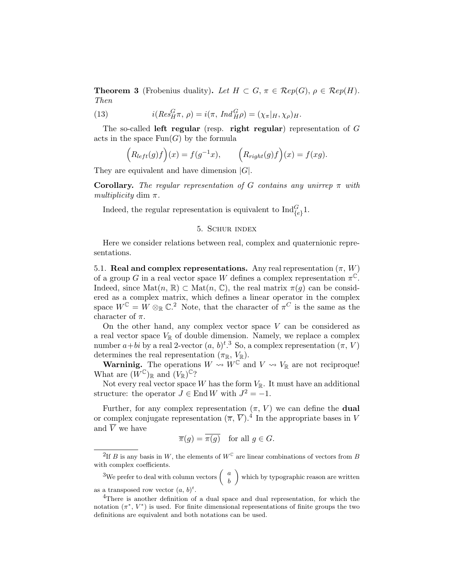**Theorem 3** (Frobenius duality). Let  $H \subset G$ ,  $\pi \in \mathcal{R}ep(G)$ ,  $\rho \in \mathcal{R}ep(H)$ . Then

(13) 
$$
i(Res_H^G \pi, \rho) = i(\pi, Ind_H^G \rho) = (\chi_{\pi}|_H, \chi_{\rho})_H.
$$

The so-called left regular (resp. right regular) representation of  $G$ acts in the space  $Fun(G)$  by the formula

$$
(R_{left}(g)f)(x) = f(g^{-1}x), \qquad (R_{right}(g)f)(x) = f(xg).
$$

They are equivalent and have dimension  $|G|$ .

**Corollary.** The regular representation of G contains any unirrep  $\pi$  with multiplicity dim  $\pi$ .

Indeed, the regular representation is equivalent to  $\text{Ind}_{\{e\}}^G 1$ .

## 5. Schur index

Here we consider relations between real, complex and quaternionic representations.

5.1. Real and complex representations. Any real representation  $(\pi, W)$ of a group G in a real vector space W defines a complex representation  $\pi^{\mathbb{C}}$ . Indeed, since  $\text{Mat}(n, \mathbb{R}) \subset \text{Mat}(n, \mathbb{C})$ , the real matrix  $\pi(g)$  can be considered as a complex matrix, which defines a linear operator in the complex space  $W^{\mathbb{C}} = W \otimes_{\mathbb{R}} \mathbb{C}^2$ . Note, that the character of  $\pi^C$  is the same as the character of  $\pi$ .

On the other hand, any complex vector space  $V$  can be considered as a real vector space  $V_{\mathbb{R}}$  of double dimension. Namely, we replace a complex number  $a+bi$  by a real 2-vector  $(a, b)<sup>t, 3</sup>$  So, a complex representation  $(\pi, V)$ determines the real representation  $(\pi_{\mathbb{R}}, V_{\mathbb{R}})$ .

**Warninig.** The operations  $W \rightsquigarrow W^{\mathbb{C}}$  and  $V \rightsquigarrow V_{\mathbb{R}}$  are not reciproque! What are  $(W^{\mathbb{C}})_{\mathbb{R}}$  and  $(V_{\mathbb{R}})^{\mathbb{C}}$ ?

Not every real vector space W has the form  $V_{\mathbb{R}}$ . It must have an additional structure: the operator  $J \in \text{End } W$  with  $J^2 = -1$ .

Further, for any complex representation  $(\pi, V)$  we can define the **dual** or complex conjugate representation  $(\overline{\pi}, \overline{V})$ .<sup>4</sup> In the appropriate bases in V and  $\overline{V}$  we have

$$
\overline{\pi}(g) = \overline{\pi(g)} \quad \text{for all } g \in G.
$$

<sup>&</sup>lt;sup>2</sup>If *B* is any basis in W, the elements of  $W^{\mathbb{C}}$  are linear combinations of vectors from *B* with complex coefficients.

<sup>&</sup>lt;sup>3</sup>We prefer to deal with column vectors  $\begin{pmatrix} a \\ b \end{pmatrix}$ b which by typographic reason are written as a transposed row vector  $(a, b)^t$ .

<sup>&</sup>lt;sup>4</sup>There is another definition of a dual space and dual representation, for which the notation  $(\pi^*, V^*)$  is used. For finite dimensional representations of finite groups the two definitions are equivalent and both notations can be used.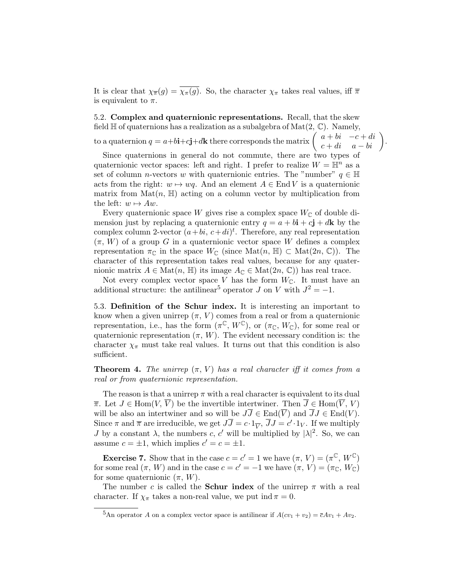It is clear that  $\chi_{\overline{\pi}}(g) = \overline{\chi_{\pi}(g)}$ . So, the character  $\chi_{\pi}$  takes real values, iff  $\overline{\pi}$ is equivalent to  $\pi$ .

5.2. Complex and quaternionic representations. Recall, that the skew field  $\mathbb H$  of quaternions has a realization as a subalgebra of  $\mathrm{Mat}(2, \mathbb C)$ . Namely,

to a quaternion  $q = a+b\mathbf{i}+c\mathbf{j}+d\mathbf{k}$  there corresponds the matrix  $\begin{pmatrix} a+bi & -c+di \\ c+di & a-bi \end{pmatrix}$ .

Since quaternions in general do not commute, there are two types of quaternionic vector spaces: left and right. I prefer to realize  $W = \mathbb{H}^n$  as a set of column *n*-vectors w with quaternionic entries. The "number"  $q \in \mathbb{H}$ acts from the right:  $w \mapsto wq$ . And an element  $A \in End V$  is a quaternionic matrix from  $\text{Mat}(n, \mathbb{H})$  acting on a column vector by multiplication from the left:  $w \mapsto Aw$ .

Every quaternionic space W gives rise a complex space  $W_{\mathbb{C}}$  of double dimension just by replacing a quaternionic entry  $q = a + b\mathbf{i} + c\mathbf{j} + d\mathbf{k}$  by the complex column 2-vector  $(a+bi, c+di)^t$ . Therefore, any real representation  $(\pi, W)$  of a group G in a quaternionic vector space W defines a complex representation  $\pi_{\mathbb{C}}$  in the space  $W_{\mathbb{C}}$  (since  $\mathrm{Mat}(n, \mathbb{H}) \subset \mathrm{Mat}(2n, \mathbb{C})$ ). The character of this representation takes real values, because for any quaternionic matrix  $A \in \text{Mat}(n, \mathbb{H})$  its image  $A_{\mathbb{C}} \in \text{Mat}(2n, \mathbb{C})$  has real trace.

Not every complex vector space V has the form  $W_{\mathbb{C}}$ . It must have an additional structure: the antilinear<sup>5</sup> operator J on V with  $J^2 = -1$ .

5.3. Definition of the Schur index. It is interesting an important to know when a given unirrep  $(\pi, V)$  comes from a real or from a quaternionic representation, i.e., has the form  $(\pi^{\mathbb{C}}, W^{\mathbb{C}})$ , or  $(\pi_{\mathbb{C}}, W_{\mathbb{C}})$ , for some real or quaternionic representation  $(\pi, W)$ . The evident necessary condition is: the character  $\chi_{\pi}$  must take real values. It turns out that this condition is also sufficient.

**Theorem 4.** The unirrep  $(\pi, V)$  has a real character iff it comes from a real or from quaternionic representation.

The reason is that a unirrep  $\pi$  with a real character is equivalent to its dual  $\overline{\pi}$ . Let  $J \in \text{Hom}(V, \overline{V})$  be the invertible intertwiner. Then  $\overline{J} \in \text{Hom}(\overline{V}, V)$ will be also an intertwiner and so will be  $J\overline{J} \in \text{End}(\overline{V})$  and  $\overline{J}J \in \text{End}(V)$ . Since  $\pi$  and  $\overline{\pi}$  are irreducible, we get  $J\overline{J} = c \cdot 1_{\overline{V}}$ ,  $\overline{J}J = c' \cdot 1_V$ . If we multiply *J* by a constant  $\lambda$ , the numbers c, c' will be multiplied by  $|\lambda|^2$ . So, we can assume  $c = \pm 1$ , which implies  $c' = c = \pm 1$ .

**Exercise 7.** Show that in the case  $c = c' = 1$  we have  $(\pi, V) = (\pi^{\mathbb{C}}, W^{\mathbb{C}})$ for some real  $(\pi, W)$  and in the case  $c = c' = -1$  we have  $(\pi, V) = (\pi_{\mathbb{C}}, W_{\mathbb{C}})$ for some quaternionic  $(\pi, W)$ .

The number c is called the **Schur index** of the unirrep  $\pi$  with a real character. If  $\chi_{\pi}$  takes a non-real value, we put ind  $\pi = 0$ .

<sup>&</sup>lt;sup>5</sup>An operator A on a complex vector space is antilinear if  $A(cv_1 + v_2) = \overline{c}Av_1 + Av_2$ .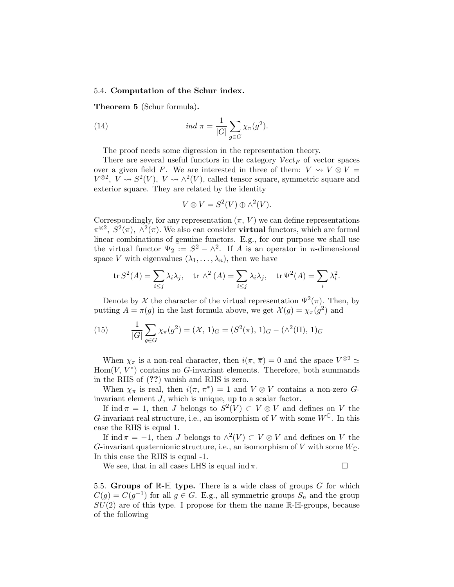#### 5.4. Computation of the Schur index.

Theorem 5 (Schur formula).

(14) 
$$
ind \ \pi = \frac{1}{|G|} \sum_{g \in G} \chi_{\pi}(g^2).
$$

The proof needs some digression in the representation theory.

There are several useful functors in the category  $Vect_F$  of vector spaces over a given field F. We are interested in three of them:  $V \rightsquigarrow V \otimes V =$  $V^{\otimes 2}$ ,  $\overline{V} \rightsquigarrow S^2(V)$ ,  $V \rightsquigarrow \wedge^2(V)$ , called tensor square, symmetric square and exterior square. They are related by the identity

$$
V \otimes V = S^2(V) \oplus \wedge^2(V).
$$

Correspondingly, for any representation  $(\pi, V)$  we can define representations  $\pi^{\otimes 2}$ ,  $S^2(\pi)$ ,  $\wedge^2(\pi)$ . We also can consider **virtual** functors, which are formal linear combinations of genuine functors. E.g., for our purpose we shall use the virtual functor  $\Psi_2 := S^2 - \wedge^2$ . If A is an operator in *n*-dimensional space V with eigenvalues  $(\lambda_1, \ldots, \lambda_n)$ , then we have

$$
\operatorname{tr} S^2(A) = \sum_{i \le j} \lambda_i \lambda_j, \quad \operatorname{tr} \wedge^2(A) = \sum_{i \le j} \lambda_i \lambda_j, \quad \operatorname{tr} \Psi^2(A) = \sum_i \lambda_i^2.
$$

Denote by X the character of the virtual representation  $\Psi^2(\pi)$ . Then, by putting  $A = \pi(g)$  in the last formula above, we get  $\mathcal{X}(g) = \chi_{\pi}(g^2)$  and

(15) 
$$
\frac{1}{|G|} \sum_{g \in G} \chi_{\pi}(g^2) = (\mathcal{X}, 1)_G = (S^2(\pi), 1)_G - (\wedge^2(\Pi), 1)_G
$$

When  $\chi_{\pi}$  is a non-real character, then  $i(\pi, \overline{\pi}) = 0$  and the space  $V^{\otimes 2} \simeq$  $Hom(V, V^*)$  contains no G-invariant elements. Therefore, both summands in the RHS of (??) vanish and RHS is zero.

When  $\chi_{\pi}$  is real, then  $i(\pi, \pi^*) = 1$  and  $V \otimes V$  contains a non-zero Ginvariant element J, which is unique, up to a scalar factor.

If ind  $\pi = 1$ , then J belongs to  $S^2(V) \subset V \otimes V$  and defines on V the G-invariant real structure, i.e., an isomorphism of V with some  $W^{\mathbb{C}}$ . In this case the RHS is equal 1.

If ind  $\pi = -1$ , then J belongs to  $\wedge^2(V) \subset V \otimes V$  and defines on V the G-invariant quaternionic structure, i.e., an isomorphism of V with some  $W_{\mathbb{C}}$ . In this case the RHS is equal -1.

We see, that in all cases LHS is equal ind  $\pi$ .

5.5. Groups of  $\mathbb{R}\text{-}\mathbb{H}$  type. There is a wide class of groups  $G$  for which  $C(g) = C(g^{-1})$  for all  $g \in G$ . E.g., all symmetric groups  $S_n$  and the group  $SU(2)$  are of this type. I propose for them the name  $\mathbb{R}\text{-}\mathbb{H}\text{-groups}$ , because of the following